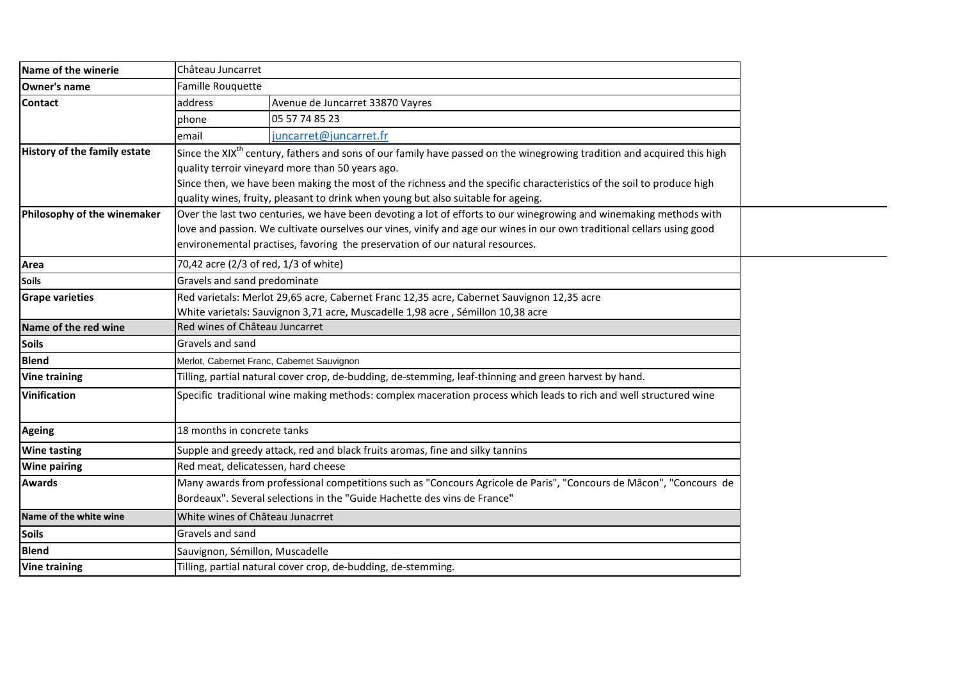| Name of the winerie                 | Château Juncarret                                                                                                                   |                                                                                                                    |  |  |
|-------------------------------------|-------------------------------------------------------------------------------------------------------------------------------------|--------------------------------------------------------------------------------------------------------------------|--|--|
| <b>Owner's name</b>                 | Famille Rouquette                                                                                                                   |                                                                                                                    |  |  |
| <b>Contact</b>                      | address                                                                                                                             | Avenue de Juncarret 33870 Vayres                                                                                   |  |  |
|                                     | phone                                                                                                                               | 05 57 74 85 23                                                                                                     |  |  |
|                                     | email                                                                                                                               | juncarret@juncarret.fr                                                                                             |  |  |
| <b>History of the family estate</b> | Since the XIX <sup>th</sup> century, fathers and sons of our family have passed on the winegrowing tradition and acquired this high |                                                                                                                    |  |  |
|                                     | quality terroir vineyard more than 50 years ago.                                                                                    |                                                                                                                    |  |  |
|                                     | Since then, we have been making the most of the richness and the specific characteristics of the soil to produce high               |                                                                                                                    |  |  |
|                                     | quality wines, fruity, pleasant to drink when young but also suitable for ageing.                                                   |                                                                                                                    |  |  |
| Philosophy of the winemaker         |                                                                                                                                     | Over the last two centuries, we have been devoting a lot of efforts to our winegrowing and winemaking methods with |  |  |
|                                     | love and passion. We cultivate ourselves our vines, vinify and age our wines in our own traditional cellars using good              |                                                                                                                    |  |  |
|                                     | environemental practises, favoring the preservation of our natural resources.                                                       |                                                                                                                    |  |  |
| Area                                | 70,42 acre (2/3 of red, 1/3 of white)                                                                                               |                                                                                                                    |  |  |
| <b>Soils</b>                        | Gravels and sand predominate                                                                                                        |                                                                                                                    |  |  |
| <b>Grape varieties</b>              | Red varietals: Merlot 29,65 acre, Cabernet Franc 12,35 acre, Cabernet Sauvignon 12,35 acre                                          |                                                                                                                    |  |  |
|                                     |                                                                                                                                     | White varietals: Sauvignon 3,71 acre, Muscadelle 1,98 acre, Sémillon 10,38 acre                                    |  |  |
| Name of the red wine                | Red wines of Château Juncarret                                                                                                      |                                                                                                                    |  |  |
| <b>Soils</b>                        | Gravels and sand                                                                                                                    |                                                                                                                    |  |  |
| <b>Blend</b>                        | Merlot, Cabernet Franc, Cabernet Sauvignon                                                                                          |                                                                                                                    |  |  |
| <b>Vine training</b>                | Tilling, partial natural cover crop, de-budding, de-stemming, leaf-thinning and green harvest by hand.                              |                                                                                                                    |  |  |
| <b>Vinification</b>                 | Specific traditional wine making methods: complex maceration process which leads to rich and well structured wine                   |                                                                                                                    |  |  |
|                                     |                                                                                                                                     |                                                                                                                    |  |  |
| <b>Ageing</b>                       | 18 months in concrete tanks                                                                                                         |                                                                                                                    |  |  |
| <b>Wine tasting</b>                 | Supple and greedy attack, red and black fruits aromas, fine and silky tannins                                                       |                                                                                                                    |  |  |
| <b>Wine pairing</b>                 | Red meat, delicatessen, hard cheese                                                                                                 |                                                                                                                    |  |  |
| <b>Awards</b>                       | Many awards from professional competitions such as "Concours Agricole de Paris", "Concours de Mâcon", "Concours de                  |                                                                                                                    |  |  |
|                                     |                                                                                                                                     | Bordeaux". Several selections in the "Guide Hachette des vins de France"                                           |  |  |
| Name of the white wine              | White wines of Château Junacrret                                                                                                    |                                                                                                                    |  |  |
| <b>Soils</b>                        | Gravels and sand                                                                                                                    |                                                                                                                    |  |  |
| <b>Blend</b>                        | Sauvignon, Sémillon, Muscadelle                                                                                                     |                                                                                                                    |  |  |
| <b>Vine training</b>                |                                                                                                                                     | Tilling, partial natural cover crop, de-budding, de-stemming.                                                      |  |  |
|                                     |                                                                                                                                     |                                                                                                                    |  |  |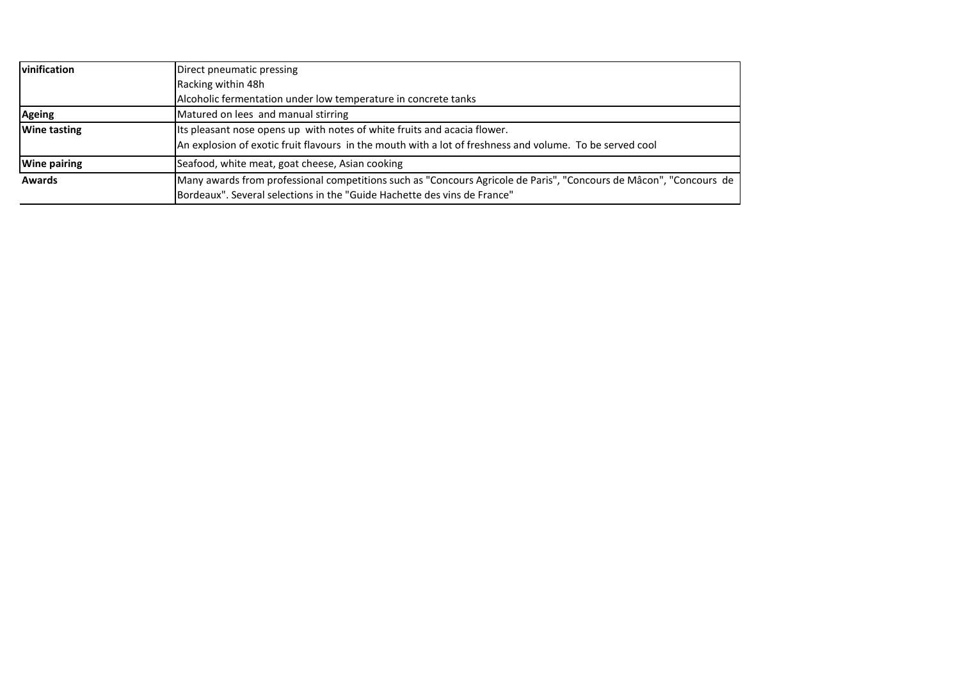| vinification        | Direct pneumatic pressing                                                                                          |  |  |
|---------------------|--------------------------------------------------------------------------------------------------------------------|--|--|
|                     | Racking within 48h                                                                                                 |  |  |
|                     | Alcoholic fermentation under low temperature in concrete tanks                                                     |  |  |
| <b>Ageing</b>       | Matured on lees and manual stirring                                                                                |  |  |
| <b>Wine tasting</b> | Its pleasant nose opens up with notes of white fruits and acacia flower.                                           |  |  |
|                     | An explosion of exotic fruit flavours in the mouth with a lot of freshness and volume. To be served cool           |  |  |
| <b>Wine pairing</b> | Seafood, white meat, goat cheese, Asian cooking                                                                    |  |  |
| <b>Awards</b>       | Many awards from professional competitions such as "Concours Agricole de Paris", "Concours de Mâcon", "Concours de |  |  |
|                     | Bordeaux". Several selections in the "Guide Hachette des vins de France"                                           |  |  |